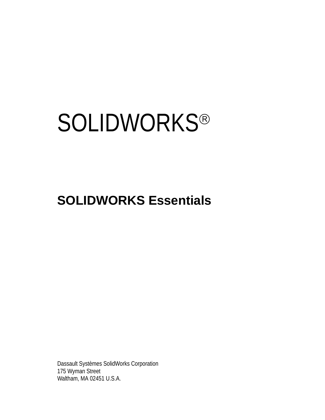# **SOLIDWORKS®**

# **SOLIDWORKS Essentials**

Dassault Systèmes SolidWorks Corporation 175 Wyman Street Waltham, MA 02451 U.S.A.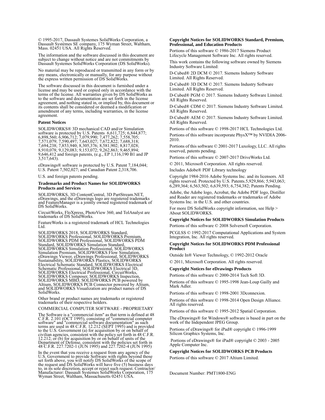© 1995-2017, Dassault Systemes SolidWorks Corporation, a Dassault Systèmes SE company, 175 Wyman Street, Waltham, Mass. 02451 USA. All Rights Reserved.

The information and the software discussed in this document are subject to change without notice and are not commitments by Dassault Systemes SolidWorks Corporation (DS SolidWorks).

No material may be reproduced or transmitted in any form or by any means, electronically or manually, for any purpose without the express written permission of DS SolidWorks.

The software discussed in this document is furnished under a license and may be used or copied only in accordance with the terms of the license. All warranties given by DS SolidWorks as to the software and documentation are set forth in the license agreement, and nothing stated in, or implied by, this document or its contents shall be considered or deemed a modification or amendment of any terms, including warranties, in the license agreement.

#### **Patent Notices**

SOLIDWORKS® 3D mechanical CAD and/or Simulation software is protected by U.S. Patents 6,611,725; 6,844,877; 6,898,560; 6,906,712; 7,079,990; 7,477,262; 7,558,705; 7,571,079; 7,590,497; 7,643,027; 7,672,822; 7,688,318; 7,694,238; 7,853,940; 8,305,376; 8,581,902; 8,817,028; 8,910,078; 9,129,083; 9,153,072; 9,262,863; 9,465,894; 9,646,412 and foreign patents, (e.g., EP 1,116,190 B1 and JP  $3,517,643$ ).

eDrawings® software is protected by U.S. Patent 7,184,044; U.S. Patent 7,502,027; and Canadian Patent 2,318,706.

U.S. and foreign patents pending.

#### **Trademarks and Product Names for SOLIDWORKS Products and Services**

SOLIDWORKS, 3D ContentCentral, 3D PartStream.NET, eDrawings, and the eDrawings logo are registered trademarks and FeatureManager is a jointly owned registered trademark of DS SolidWorks.

CircuitWorks, FloXpress, PhotoView 360, and TolAnalyst are trademarks of DS SolidWorks.

FeatureWorks is a registered trademark of HCL Technologies Ltd.

SOLIDWORKS 2018, SOLIDWORKS Standard, SOLIDWORKS Professional, SOLIDWORKS Premium, SOLIDWORKS PDM Professional, SOLIDWORKS PDM Standard, SOLIDWORKS Simulation Standard, SOLIDWORKS Simulation Professional, SOLIDWORKS<br>Simulation Premium, SOLIDWORKS Flow Simulation,<br>eDrawings Viewer, eDrawings Professional, SOLIDWORKS<br>Sustainability, SOLIDWORKS Plastics, SOLIDWORKS<br>Electrical Schematic Stand SOLIDWORKS Electrical Professional, CircuitWorks,<br>SOLIDWORKS Composer, SOLIDWORKS Inspection,<br>SOLIDWORKS MBD, SOLIDWORKS PCB powered by<br>Altium, SOLIDWORKS PCB Connector powered by Altium,<br>and SOLIDWORKS Visualization are p SolidWorks.

Other brand or product names are trademarks or registered trademarks of their respective holders.

COMMERCIAL COMPUTER SOFTWARE - PROPRIETARY

The Software is a "commercial item" as that term is defined at 48<br>C.F.R. 2.101 (OCT 1995), consisting of "commercial computer<br>software" and "commercial software documentation" as such<br>terms are used in 48 C.F.R. 12.212 (SE Department of Defense, consistent with the policies set forth in 48 C.F.R. 227.7202-1 (JUN 1995) and 227.7202-4 (JUN 1995)

In the event that you receive a request from any agency of the If the court that you receive a request non any agency of the<br>set forth above, you will notify DS SolidWorks of the scope of<br>the request and DS SolidWorks will have five (5) business days<br>to, in its sole discretion, accept Wyman Street, Waltham, Massachusetts 02451 USA.

## **Copyright Notices for SOLIDWORKS Standard, Premium, Professional, and Education Products**

Portions of this software © 1986-2017 Siemens Product Lifecycle Management Software Inc. All rights reserved.

This work contains the following software owned by Siemens Industry Software Limited:

D-Cubed® 2D DCM © 2017. Siemens Industry Software Limited. All Rights Reserved.

D-Cubed® 3D DCM © 2017. Siemens Industry Software Limited. All Rights Reserved.

D-Cubed® PGM © 2017. Siemens Industry Software Limited. All Rights Reserved.

D-Cubed® CDM © 2017. Siemens Industry Software Limited. All Rights Reserved.

D-Cubed® AEM © 2017. Siemens Industry Software Limited. All Rights Reserved.

Portions of this software © 1998-2017 HCL Technologies Ltd. Portions of this software incorporate PhysX™ by NVIDIA 2006- 2010.

Portions of this software © 2001-2017 Luxology, LLC. All rights reserved, patents pending.

Portions of this software © 2007-2017 DriveWorks Ltd.

© 2011, Microsoft Corporation. All rights reserved.

Includes Adobe® PDF Library technology

Copyright 1984-2016 Adobe Systems Inc. and its licensors. All rights reserved. Protected by U.S. Patents.5,929,866; 5,943,063; 6,289,364; 6,563,502; 6,639,593; 6,754,382; Patents Pending.

Adobe, the Adobe logo, Acrobat, the Adobe PDF logo, Distiller and Reader are registered trademarks or trademarks of Adobe Systems Inc. in the U.S. and other countries.

For more DS SolidWorks copyright information, see Help > About SOLIDWORKS.

### **Copyright Notices for SOLIDWORKS Simulation Products**

Portions of this software © 2008 Solversoft Corporation.

PCGLSS © 1992-2017 Computational Applications and System Integration, Inc. All rights reserved.

#### **Copyright Notices for SOLIDWORKS PDM Professional Product**

Outside In® Viewer Technology, © 1992-2012 Oracle © 2011, Microsoft Corporation. All rights reserved.

## **Copyright Notices for eDrawings Products**

Portions of this software © 2000-2014 Tech Soft 3D.

Portions of this software © 1995-1998 Jean-Loup Gailly and Mark Adler.

Portions of this software © 1998-2001 3Dconnexion.

Portions of this software © 1998-2014 Open Design Alliance. All rights reserved.

Portions of this software © 1995-2012 Spatial Corporation.

The eDrawings® for Windows® software is based in part on the work of the Independent JPEG Group.

Portions of eDrawings® for iPad® copyright © 1996-1999 Silicon Graphics Systems, Inc.

 Portions of eDrawings® for iPad® copyright © 2003 - 2005 Apple Computer Inc.

#### **Copyright Notices for SOLIDWORKS PCB Products**

Portions of this software © 2017 Altium Limited.

Document Number: PMT1800-ENG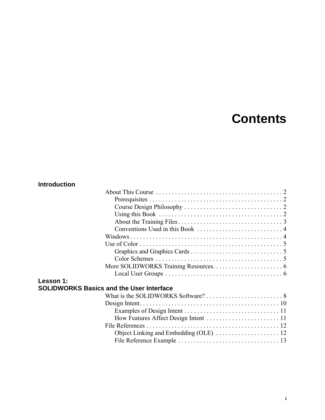# **Contents**

# **Introduction**

| Lesson 1: |                                                 |  |
|-----------|-------------------------------------------------|--|
|           | <b>SOLIDWORKS Basics and the User Interface</b> |  |
|           |                                                 |  |
|           |                                                 |  |
|           |                                                 |  |
|           |                                                 |  |
|           |                                                 |  |

Object Linking and Embedding (OLE) ............................ 12 File Reference Example . . . . . . . . . . . . . . . . . . . . . . . . . . . . . . . . 13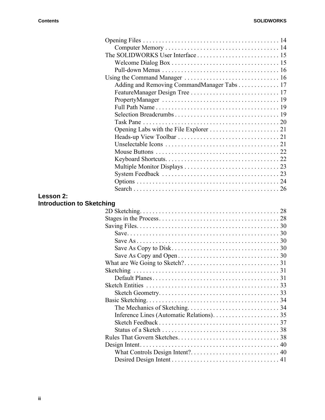|                                  | Adding and Removing CommandManager Tabs 17 |  |
|----------------------------------|--------------------------------------------|--|
|                                  |                                            |  |
|                                  |                                            |  |
|                                  |                                            |  |
|                                  |                                            |  |
|                                  |                                            |  |
|                                  |                                            |  |
|                                  |                                            |  |
|                                  |                                            |  |
|                                  |                                            |  |
|                                  |                                            |  |
|                                  |                                            |  |
|                                  |                                            |  |
|                                  |                                            |  |
|                                  |                                            |  |
| Lesson 2:                        |                                            |  |
| <b>Introduction to Sketching</b> |                                            |  |
|                                  |                                            |  |
|                                  |                                            |  |
|                                  |                                            |  |
|                                  |                                            |  |
|                                  |                                            |  |
|                                  |                                            |  |
|                                  |                                            |  |
|                                  |                                            |  |
|                                  |                                            |  |
|                                  |                                            |  |
|                                  |                                            |  |
|                                  |                                            |  |
|                                  |                                            |  |
|                                  |                                            |  |
|                                  |                                            |  |
|                                  |                                            |  |
|                                  |                                            |  |
|                                  |                                            |  |
|                                  |                                            |  |
|                                  |                                            |  |
|                                  |                                            |  |
|                                  |                                            |  |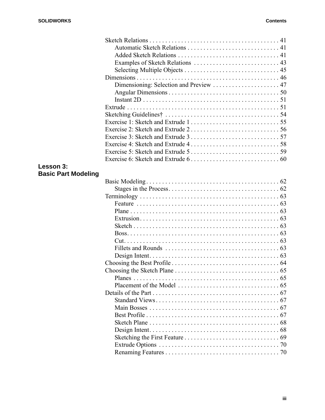| Lesson 3:                  |  |
|----------------------------|--|
| <b>Basic Part Modeling</b> |  |
|                            |  |
|                            |  |
|                            |  |
|                            |  |
|                            |  |
|                            |  |
|                            |  |
|                            |  |
|                            |  |
|                            |  |
|                            |  |
|                            |  |
|                            |  |
|                            |  |
|                            |  |
|                            |  |
|                            |  |
|                            |  |
|                            |  |
|                            |  |
|                            |  |
|                            |  |
|                            |  |
|                            |  |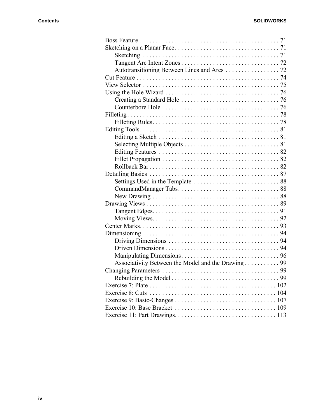| Autotransitioning Between Lines and Arcs 72        |     |
|----------------------------------------------------|-----|
|                                                    |     |
|                                                    |     |
|                                                    |     |
|                                                    |     |
|                                                    |     |
|                                                    |     |
|                                                    |     |
|                                                    |     |
|                                                    |     |
|                                                    |     |
|                                                    |     |
|                                                    |     |
|                                                    |     |
|                                                    |     |
|                                                    |     |
|                                                    |     |
|                                                    |     |
|                                                    |     |
|                                                    |     |
|                                                    |     |
|                                                    |     |
|                                                    |     |
|                                                    |     |
|                                                    |     |
|                                                    |     |
| Associativity Between the Model and the Drawing 99 |     |
|                                                    |     |
|                                                    |     |
|                                                    |     |
|                                                    | 104 |
|                                                    |     |
|                                                    |     |
|                                                    |     |
|                                                    |     |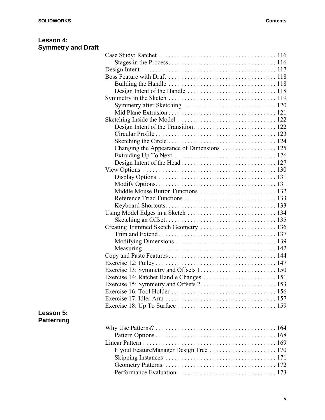| Lesson 4:                 |  |
|---------------------------|--|
| <b>Symmetry and Draft</b> |  |

| Changing the Appearance of Dimensions  125 |  |
|--------------------------------------------|--|
|                                            |  |
|                                            |  |
|                                            |  |
|                                            |  |
|                                            |  |
|                                            |  |
|                                            |  |
|                                            |  |
|                                            |  |
|                                            |  |
| Creating Trimmed Sketch Geometry  136      |  |
|                                            |  |
|                                            |  |
|                                            |  |
|                                            |  |
|                                            |  |
|                                            |  |
| Exercise 14: Ratchet Handle Changes  151   |  |
|                                            |  |
|                                            |  |
|                                            |  |
|                                            |  |
|                                            |  |
|                                            |  |
|                                            |  |
|                                            |  |
| Flyout FeatureManager Design Tree  170     |  |
|                                            |  |
|                                            |  |
|                                            |  |
|                                            |  |

# **Lesson 5: Patterning**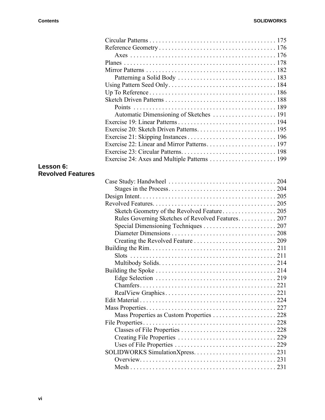|                          | <b>Points</b>                                     |     |
|--------------------------|---------------------------------------------------|-----|
|                          | Automatic Dimensioning of Sketches  191           |     |
|                          |                                                   |     |
|                          |                                                   |     |
|                          |                                                   |     |
|                          |                                                   |     |
|                          |                                                   |     |
|                          |                                                   |     |
| Lesson 6:                |                                                   |     |
| <b>Revolved Features</b> |                                                   |     |
|                          |                                                   |     |
|                          |                                                   |     |
|                          |                                                   |     |
|                          |                                                   |     |
|                          |                                                   |     |
|                          | Rules Governing Sketches of Revolved Features 207 |     |
|                          |                                                   |     |
|                          |                                                   |     |
|                          |                                                   |     |
|                          |                                                   |     |
|                          |                                                   |     |
|                          |                                                   |     |
|                          |                                                   |     |
|                          |                                                   | 219 |
|                          | Chamfers                                          | 221 |
|                          |                                                   |     |
|                          |                                                   |     |
|                          |                                                   |     |
|                          | Mass Properties as Custom Properties  228         |     |
|                          |                                                   |     |
|                          |                                                   |     |
|                          |                                                   |     |
|                          |                                                   |     |
|                          |                                                   |     |
|                          |                                                   |     |
|                          |                                                   |     |
|                          |                                                   |     |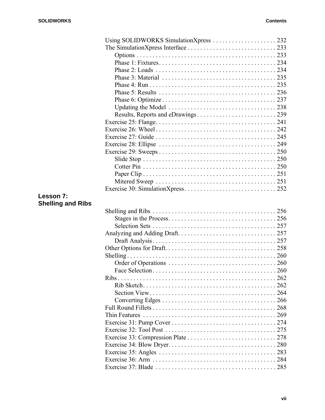|                          | Using SOLIDWORKS SimulationXpress  232 |     |
|--------------------------|----------------------------------------|-----|
|                          |                                        |     |
|                          |                                        |     |
|                          |                                        |     |
|                          |                                        |     |
|                          |                                        |     |
|                          |                                        |     |
|                          |                                        |     |
|                          |                                        |     |
|                          |                                        |     |
|                          |                                        |     |
|                          |                                        |     |
|                          |                                        |     |
|                          |                                        |     |
|                          |                                        |     |
|                          |                                        |     |
|                          |                                        |     |
|                          |                                        |     |
|                          |                                        |     |
|                          |                                        |     |
|                          |                                        |     |
| Lesson 7:                |                                        |     |
| <b>Shelling and Ribs</b> |                                        |     |
|                          |                                        |     |
|                          |                                        |     |
|                          |                                        |     |
|                          |                                        |     |
|                          |                                        |     |
|                          |                                        |     |
|                          |                                        |     |
|                          |                                        |     |
|                          |                                        |     |
|                          |                                        | 262 |
|                          |                                        |     |
|                          |                                        |     |
|                          |                                        |     |
|                          |                                        |     |
|                          | Thin Features                          |     |
|                          |                                        |     |
|                          |                                        |     |
|                          |                                        |     |
|                          |                                        |     |
|                          |                                        |     |
|                          |                                        |     |
|                          |                                        |     |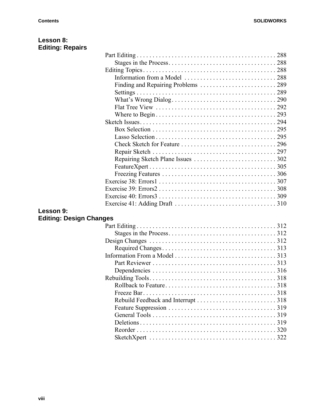| Lesson 8:                      |                                                                                                                        |  |
|--------------------------------|------------------------------------------------------------------------------------------------------------------------|--|
| <b>Editing: Repairs</b>        |                                                                                                                        |  |
|                                |                                                                                                                        |  |
|                                |                                                                                                                        |  |
|                                |                                                                                                                        |  |
|                                |                                                                                                                        |  |
|                                |                                                                                                                        |  |
|                                |                                                                                                                        |  |
|                                |                                                                                                                        |  |
|                                |                                                                                                                        |  |
|                                |                                                                                                                        |  |
|                                |                                                                                                                        |  |
|                                |                                                                                                                        |  |
|                                |                                                                                                                        |  |
|                                |                                                                                                                        |  |
|                                |                                                                                                                        |  |
|                                |                                                                                                                        |  |
|                                |                                                                                                                        |  |
|                                |                                                                                                                        |  |
|                                |                                                                                                                        |  |
|                                |                                                                                                                        |  |
|                                | Exercise 40: Errors $3 \ldots \ldots \ldots \ldots \ldots \ldots \ldots \ldots \ldots \ldots \ldots \ldots \ldots 309$ |  |
|                                |                                                                                                                        |  |
| Lesson 9:                      |                                                                                                                        |  |
| <b>Editing: Design Changes</b> |                                                                                                                        |  |
|                                |                                                                                                                        |  |
|                                |                                                                                                                        |  |
|                                |                                                                                                                        |  |
|                                |                                                                                                                        |  |
|                                |                                                                                                                        |  |
|                                |                                                                                                                        |  |
|                                |                                                                                                                        |  |
|                                |                                                                                                                        |  |
|                                |                                                                                                                        |  |
|                                |                                                                                                                        |  |
|                                |                                                                                                                        |  |
|                                |                                                                                                                        |  |
|                                |                                                                                                                        |  |
|                                |                                                                                                                        |  |
|                                |                                                                                                                        |  |
|                                |                                                                                                                        |  |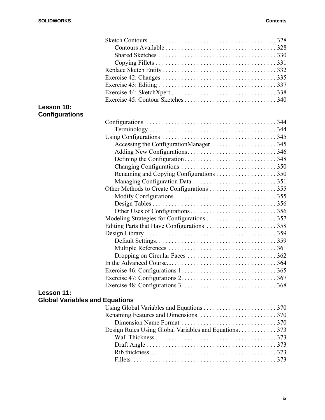| Lesson 10:                            |                                                                                                                   |  |
|---------------------------------------|-------------------------------------------------------------------------------------------------------------------|--|
| <b>Configurations</b>                 |                                                                                                                   |  |
|                                       |                                                                                                                   |  |
|                                       | $Terminology \ldots \ldots \ldots \ldots \ldots \ldots \ldots \ldots \ldots \ldots \ldots \ldots \ldots 344$      |  |
|                                       |                                                                                                                   |  |
|                                       |                                                                                                                   |  |
|                                       |                                                                                                                   |  |
|                                       |                                                                                                                   |  |
|                                       |                                                                                                                   |  |
|                                       |                                                                                                                   |  |
|                                       |                                                                                                                   |  |
|                                       |                                                                                                                   |  |
|                                       |                                                                                                                   |  |
|                                       |                                                                                                                   |  |
|                                       |                                                                                                                   |  |
|                                       |                                                                                                                   |  |
|                                       |                                                                                                                   |  |
|                                       |                                                                                                                   |  |
|                                       |                                                                                                                   |  |
|                                       |                                                                                                                   |  |
|                                       |                                                                                                                   |  |
|                                       |                                                                                                                   |  |
|                                       |                                                                                                                   |  |
|                                       |                                                                                                                   |  |
|                                       | Exercise 48: Configurations $3. \ldots \ldots \ldots \ldots \ldots \ldots \ldots \ldots \ldots \ldots \ldots 368$ |  |
| Lesson 11:                            |                                                                                                                   |  |
|                                       |                                                                                                                   |  |
| <b>Global Variables and Equations</b> |                                                                                                                   |  |
|                                       |                                                                                                                   |  |
|                                       |                                                                                                                   |  |
|                                       |                                                                                                                   |  |
|                                       | Design Rules Using Global Variables and Equations. 373                                                            |  |
|                                       |                                                                                                                   |  |
|                                       |                                                                                                                   |  |
|                                       |                                                                                                                   |  |
|                                       |                                                                                                                   |  |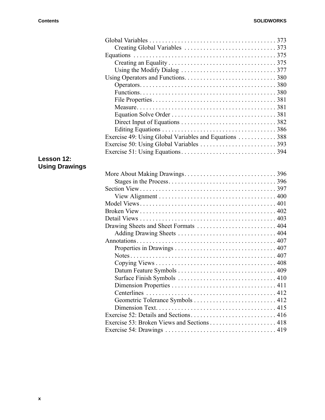|                       | Exercise 49: Using Global Variables and Equations 388 |  |
|-----------------------|-------------------------------------------------------|--|
|                       |                                                       |  |
|                       |                                                       |  |
| Lesson 12:            |                                                       |  |
| <b>Using Drawings</b> |                                                       |  |
|                       |                                                       |  |
|                       |                                                       |  |
|                       |                                                       |  |
|                       |                                                       |  |
|                       |                                                       |  |
|                       |                                                       |  |
|                       |                                                       |  |
|                       |                                                       |  |
|                       |                                                       |  |
|                       |                                                       |  |
|                       |                                                       |  |
|                       | Notes                                                 |  |
|                       |                                                       |  |
|                       |                                                       |  |
|                       |                                                       |  |
|                       |                                                       |  |
|                       |                                                       |  |
|                       |                                                       |  |
|                       |                                                       |  |
|                       |                                                       |  |
|                       |                                                       |  |
|                       |                                                       |  |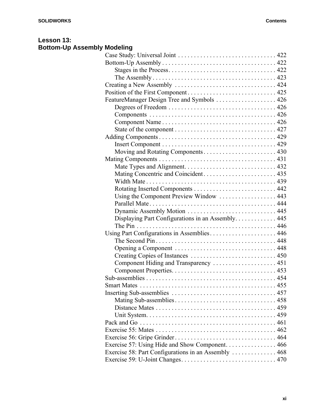# **Lesson 13: Bottom-Up Assembly Modeling**

| FeatureManager Design Tree and Symbols 426           |  |
|------------------------------------------------------|--|
|                                                      |  |
|                                                      |  |
|                                                      |  |
|                                                      |  |
|                                                      |  |
|                                                      |  |
|                                                      |  |
|                                                      |  |
|                                                      |  |
| Mating Concentric and Coincident 435                 |  |
|                                                      |  |
|                                                      |  |
| Using the Component Preview Window  443              |  |
|                                                      |  |
| Dynamic Assembly Motion  445                         |  |
| Displaying Part Configurations in an Assembly. 445   |  |
|                                                      |  |
| Using Part Configurations in Assemblies 446          |  |
|                                                      |  |
|                                                      |  |
|                                                      |  |
| Component Hiding and Transparency  451               |  |
|                                                      |  |
|                                                      |  |
|                                                      |  |
|                                                      |  |
|                                                      |  |
|                                                      |  |
|                                                      |  |
|                                                      |  |
|                                                      |  |
|                                                      |  |
| Exercise 57: Using Hide and Show Component 466       |  |
| Exercise 58: Part Configurations in an Assembly  468 |  |
|                                                      |  |
|                                                      |  |